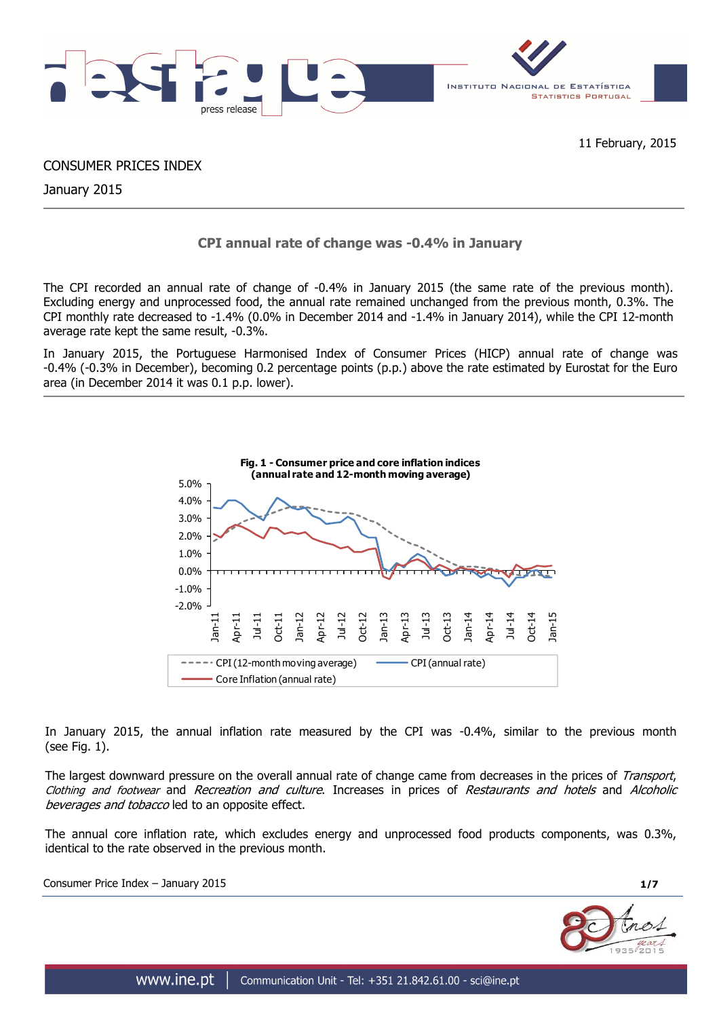

CONSUMER PRICES INDEX

January 2015

# **CPI annual rate of change was -0.4% in January**

The CPI recorded an annual rate of change of -0.4% in January 2015 (the same rate of the previous month). Excluding energy and unprocessed food, the annual rate remained unchanged from the previous month, 0.3%. The CPI monthly rate decreased to -1.4% (0.0% in December 2014 and -1.4% in January 2014), while the CPI 12-month average rate kept the same result, -0.3%.

In January 2015, the Portuguese Harmonised Index of Consumer Prices (HICP) annual rate of change was -0.4% (-0.3% in December), becoming 0.2 percentage points (p.p.) above the rate estimated by Eurostat for the Euro area (in December 2014 it was 0.1 p.p. lower).



In January 2015, the annual inflation rate measured by the CPI was -0.4%, similar to the previous month (see Fig. 1).

The largest downward pressure on the overall annual rate of change came from decreases in the prices of Transport, Clothing and footwear and Recreation and culture. Increases in prices of Restaurants and hotels and Alcoholic beverages and tobacco led to an opposite effect.

The annual core inflation rate, which excludes energy and unprocessed food products components, was 0.3%, identical to the rate observed in the previous month.

Consumer Price Index – January 2015 **1/7**

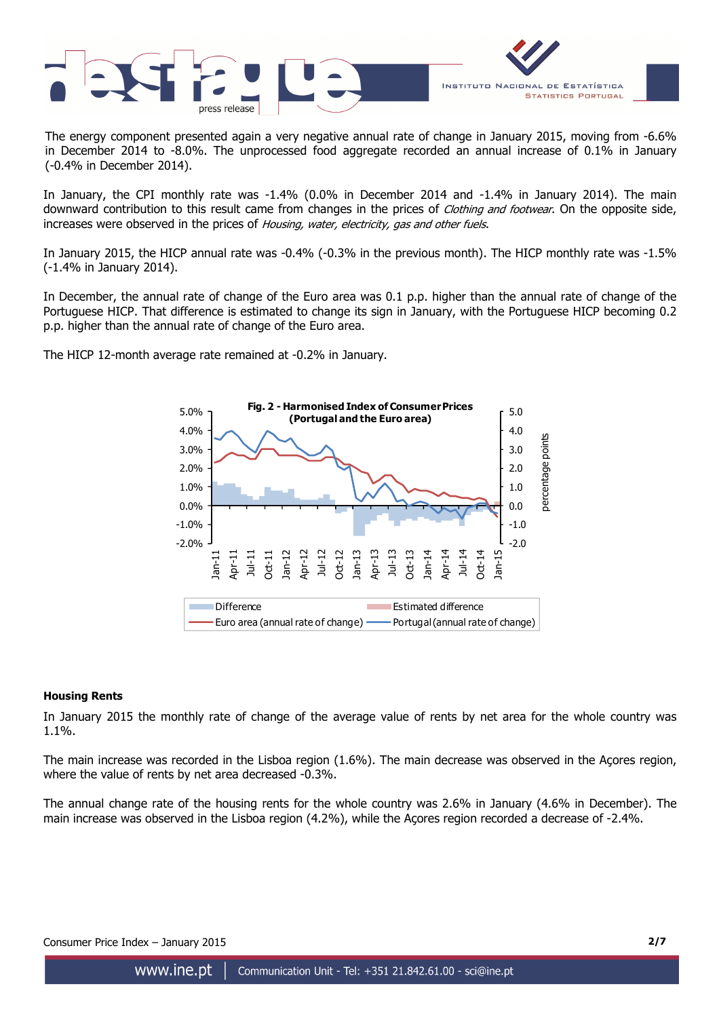

The energy component presented again a very negative annual rate of change in January 2015, moving from -6.6% in December 2014 to -8.0%. The unprocessed food aggregate recorded an annual increase of 0.1% in January (-0.4% in December 2014).

In January, the CPI monthly rate was -1.4% (0.0% in December 2014 and -1.4% in January 2014). The main downward contribution to this result came from changes in the prices of *Clothing and footwear*. On the opposite side, increases were observed in the prices of Housing, water, electricity, gas and other fuels.

In January 2015, the HICP annual rate was -0.4% (-0.3% in the previous month). The HICP monthly rate was -1.5% (-1.4% in January 2014).

In December, the annual rate of change of the Euro area was 0.1 p.p. higher than the annual rate of change of the Portuguese HICP. That difference is estimated to change its sign in January, with the Portuguese HICP becoming 0.2 p.p. higher than the annual rate of change of the Euro area.

The HICP 12-month average rate remained at -0.2% in January.



## **Housing Rents**

In January 2015 the monthly rate of change of the average value of rents by net area for the whole country was 1.1%.

The main increase was recorded in the Lisboa region (1.6%). The main decrease was observed in the Açores region, where the value of rents by net area decreased -0.3%.

The annual change rate of the housing rents for the whole country was 2.6% in January (4.6% in December). The main increase was observed in the Lisboa region (4.2%), while the Açores region recorded a decrease of -2.4%.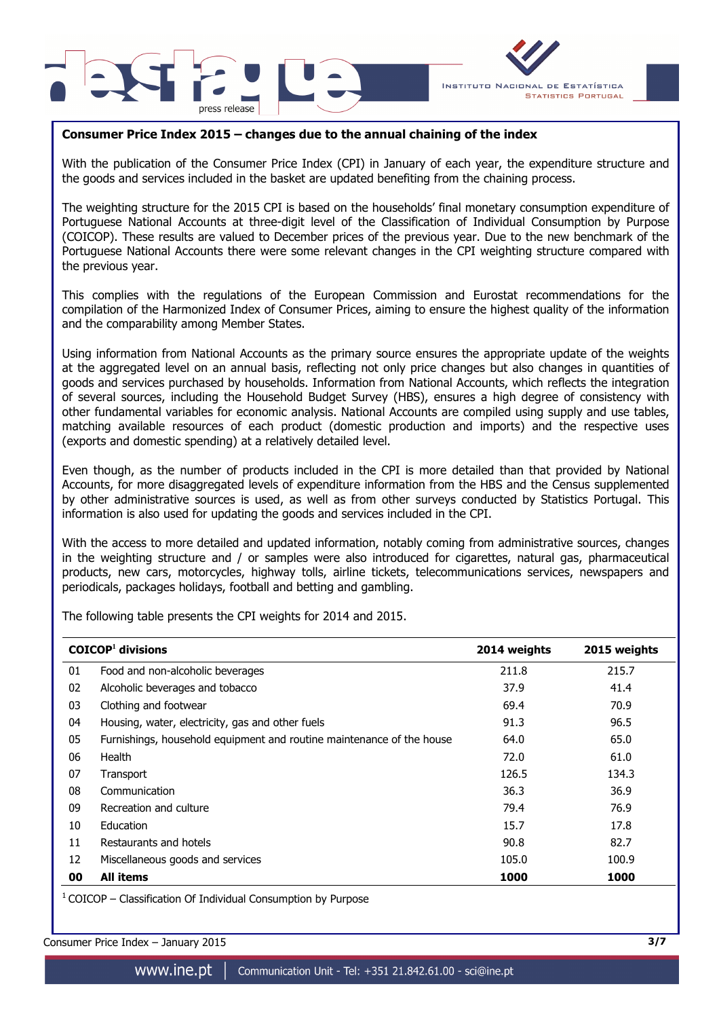



## **Consumer Price Index 2015 – changes due to the annual chaining of the index**

With the publication of the Consumer Price Index (CPI) in January of each year, the expenditure structure and the goods and services included in the basket are updated benefiting from the chaining process.

The weighting structure for the 2015 CPI is based on the households' final monetary consumption expenditure of Portuguese National Accounts at three-digit level of the Classification of Individual Consumption by Purpose (COICOP). These results are valued to December prices of the previous year. Due to the new benchmark of the Portuguese National Accounts there were some relevant changes in the CPI weighting structure compared with the previous year.

This complies with the regulations of the European Commission and Eurostat recommendations for the compilation of the Harmonized Index of Consumer Prices, aiming to ensure the highest quality of the information and the comparability among Member States.

Using information from National Accounts as the primary source ensures the appropriate update of the weights at the aggregated level on an annual basis, reflecting not only price changes but also changes in quantities of goods and services purchased by households. Information from National Accounts, which reflects the integration of several sources, including the Household Budget Survey (HBS), ensures a high degree of consistency with other fundamental variables for economic analysis. National Accounts are compiled using supply and use tables, matching available resources of each product (domestic production and imports) and the respective uses (exports and domestic spending) at a relatively detailed level.

Even though, as the number of products included in the CPI is more detailed than that provided by National Accounts, for more disaggregated levels of expenditure information from the HBS and the Census supplemented by other administrative sources is used, as well as from other surveys conducted by Statistics Portugal. This information is also used for updating the goods and services included in the CPI.

With the access to more detailed and updated information, notably coming from administrative sources, changes in the weighting structure and / or samples were also introduced for cigarettes, natural gas, pharmaceutical products, new cars, motorcycles, highway tolls, airline tickets, telecommunications services, newspapers and periodicals, packages holidays, football and betting and gambling.

The following table presents the CPI weights for 2014 and 2015.

|    | $COICOP1$ divisions                                                   | 2014 weights | 2015 weights |
|----|-----------------------------------------------------------------------|--------------|--------------|
| 01 | Food and non-alcoholic beverages                                      | 211.8        | 215.7        |
| 02 | Alcoholic beverages and tobacco                                       | 37.9         | 41.4         |
| 03 | Clothing and footwear                                                 | 69.4         | 70.9         |
| 04 | Housing, water, electricity, gas and other fuels                      | 91.3         | 96.5         |
| 05 | Furnishings, household equipment and routine maintenance of the house | 64.0         | 65.0         |
| 06 | Health                                                                | 72.0         | 61.0         |
| 07 | Transport                                                             | 126.5        | 134.3        |
| 08 | Communication                                                         | 36.3         | 36.9         |
| 09 | Recreation and culture                                                | 79.4         | 76.9         |
| 10 | Education                                                             | 15.7         | 17.8         |
| 11 | Restaurants and hotels                                                | 90.8         | 82.7         |
| 12 | Miscellaneous goods and services                                      | 105.0        | 100.9        |
| 00 | <b>All items</b>                                                      | 1000         | 1000         |

 $1$  COICOP – Classification Of Individual Consumption by Purpose

Consumer Price Index – January 2015 **3/7**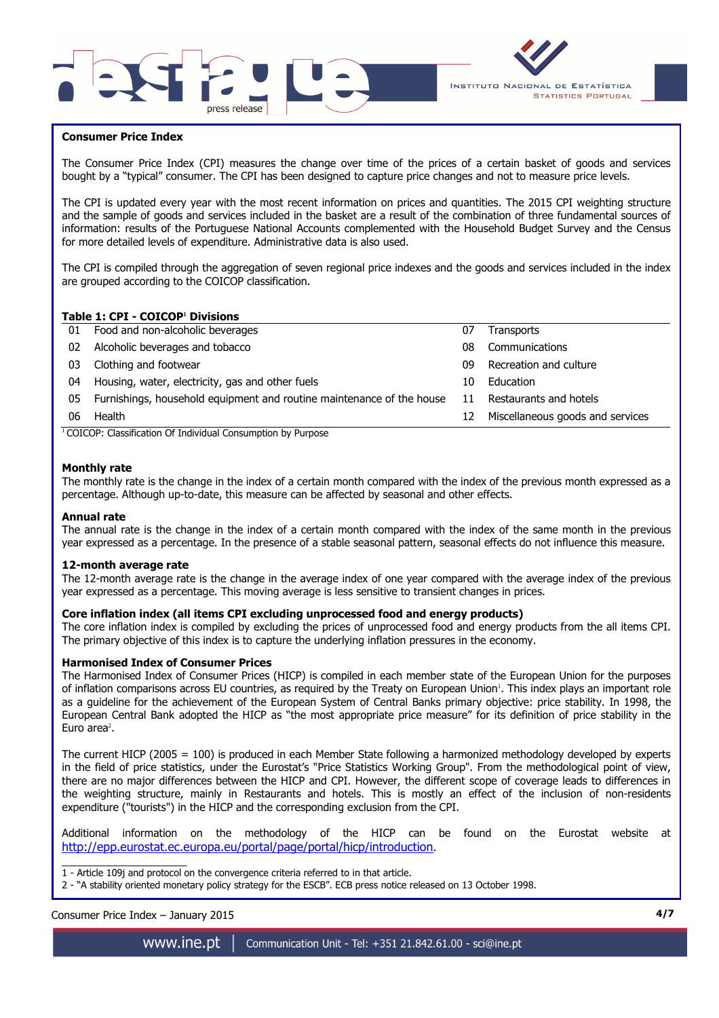



## **Consumer Price Index**

I

The Consumer Price Index (CPI) measures the change over time of the prices of a certain basket of goods and services bought by a "typical" consumer. The CPI has been designed to capture price changes and not to measure price levels.

The CPI is updated every year with the most recent information on prices and quantities. The 2015 CPI weighting structure and the sample of goods and services included in the basket are a result of the combination of three fundamental sources of information: results of the Portuguese National Accounts complemented with the Household Budget Survey and the Census for more detailed levels of expenditure. Administrative data is also used.

The CPI is compiled through the aggregation of seven regional price indexes and the goods and services included in the index are grouped according to the COICOP classification.

## **Table 1: CPI - COICOP<sup>1</sup> Divisions**

| 01 | Food and non-alcoholic beverages                                      | 07 | Transports                       |
|----|-----------------------------------------------------------------------|----|----------------------------------|
| 02 | Alcoholic beverages and tobacco                                       | 08 | Communications                   |
| 03 | Clothing and footwear                                                 | 09 | Recreation and culture           |
| 04 | Housing, water, electricity, gas and other fuels                      | 10 | Education                        |
| 05 | Furnishings, household equipment and routine maintenance of the house | 11 | Restaurants and hotels           |
| 06 | Health                                                                | 12 | Miscellaneous goods and services |
|    | $\cdots$<br>--- - - - - -<br>$\sim$<br>$\sim$                         |    |                                  |

<sup>1</sup> COICOP: Classification Of Individual Consumption by Purpose

### **Monthly rate**

The monthly rate is the change in the index of a certain month compared with the index of the previous month expressed as a percentage. Although up-to-date, this measure can be affected by seasonal and other effects.

#### **Annual rate**

The annual rate is the change in the index of a certain month compared with the index of the same month in the previous year expressed as a percentage. In the presence of a stable seasonal pattern, seasonal effects do not influence this measure.

#### **12-month average rate**

The 12-month average rate is the change in the average index of one year compared with the average index of the previous year expressed as a percentage. This moving average is less sensitive to transient changes in prices.

#### **Core inflation index (all items CPI excluding unprocessed food and energy products)**

The core inflation index is compiled by excluding the prices of unprocessed food and energy products from the all items CPI. The primary objective of this index is to capture the underlying inflation pressures in the economy.

#### **Harmonised Index of Consumer Prices**

The Harmonised Index of Consumer Prices (HICP) is compiled in each member state of the European Union for the purposes of inflation comparisons across EU countries, as required by the Treaty on European Union'. This index plays an important role as a guideline for the achievement of the European System of Central Banks primary objective: price stability. In 1998, the European Central Bank adopted the HICP as "the most appropriate price measure" for its definition of price stability in the Euro area<sup>2</sup>.

The current HICP (2005 = 100) is produced in each Member State following a harmonized methodology developed by experts in the field of price statistics, under the Eurostat's "Price Statistics Working Group". From the methodological point of view, there are no major differences between the HICP and CPI. However, the different scope of coverage leads to differences in the weighting structure, mainly in Restaurants and hotels. This is mostly an effect of the inclusion of non-residents expenditure ("tourists") in the HICP and the corresponding exclusion from the CPI.

Additional information on the methodology of the HICP can be found on the Eurostat website at http://epp.eurostat.ec.europa.eu/portal/page/portal/hicp/introduction.

\_\_\_\_\_\_\_\_\_\_\_\_\_\_\_\_\_\_\_\_\_ 1 - Article 109j and protocol on the convergence criteria referred to in that article.

Consumer Price Index – January 2015 **4/7**

www.ine.pt

<sup>2 - &</sup>quot;A stability oriented monetary policy strategy for the ESCB". ECB press notice released on 13 October 1998.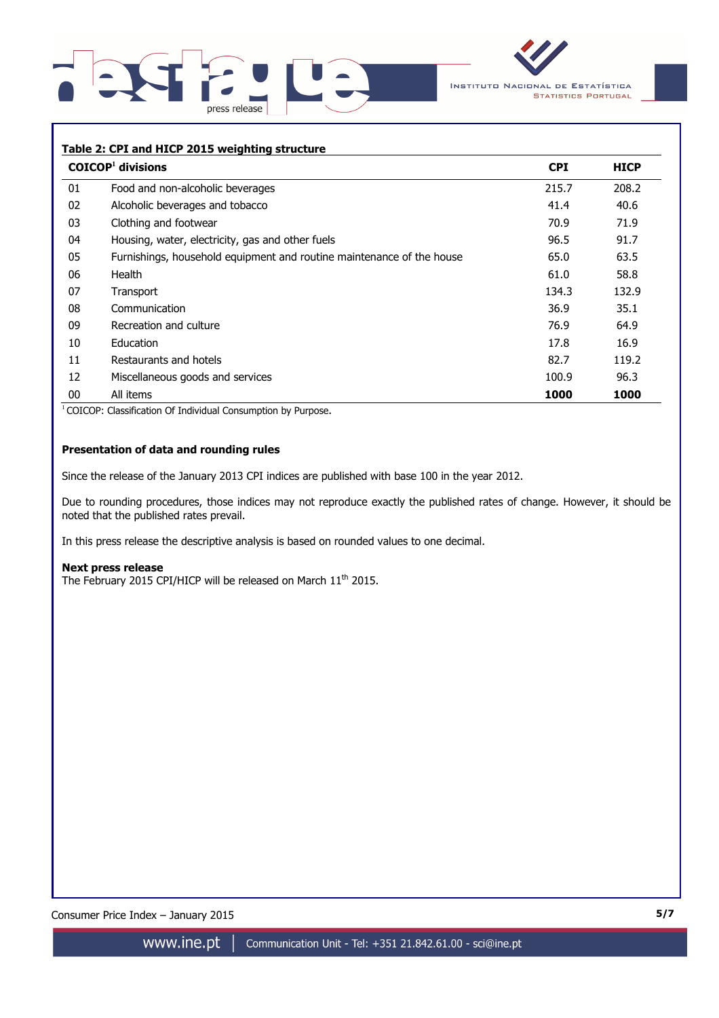



## **Table 2: CPI and HICP 2015 weighting structure**

|    | $COICOP1$ divisions                                                   | <b>CPI</b> | <b>HICP</b> |
|----|-----------------------------------------------------------------------|------------|-------------|
| 01 | Food and non-alcoholic beverages                                      | 215.7      | 208.2       |
| 02 | Alcoholic beverages and tobacco                                       | 41.4       | 40.6        |
| 03 | Clothing and footwear                                                 | 70.9       | 71.9        |
| 04 | Housing, water, electricity, gas and other fuels                      | 96.5       | 91.7        |
| 05 | Furnishings, household equipment and routine maintenance of the house | 65.0       | 63.5        |
| 06 | Health                                                                | 61.0       | 58.8        |
| 07 | Transport                                                             | 134.3      | 132.9       |
| 08 | Communication                                                         | 36.9       | 35.1        |
| 09 | Recreation and culture                                                | 76.9       | 64.9        |
| 10 | Education                                                             | 17.8       | 16.9        |
| 11 | Restaurants and hotels                                                | 82.7       | 119.2       |
| 12 | Miscellaneous goods and services                                      | 100.9      | 96.3        |
| 00 | All items                                                             | 1000       | 1000        |

<sup>1</sup> COICOP: Classification Of Individual Consumption by Purpose.

## **Presentation of data and rounding rules**

Since the release of the January 2013 CPI indices are published with base 100 in the year 2012.

Due to rounding procedures, those indices may not reproduce exactly the published rates of change. However, it should be noted that the published rates prevail.

In this press release the descriptive analysis is based on rounded values to one decimal.

#### **Next press release**

The February 2015 CPI/HICP will be released on March 11<sup>th</sup> 2015.

Consumer Price Index – January 2015 **5/7**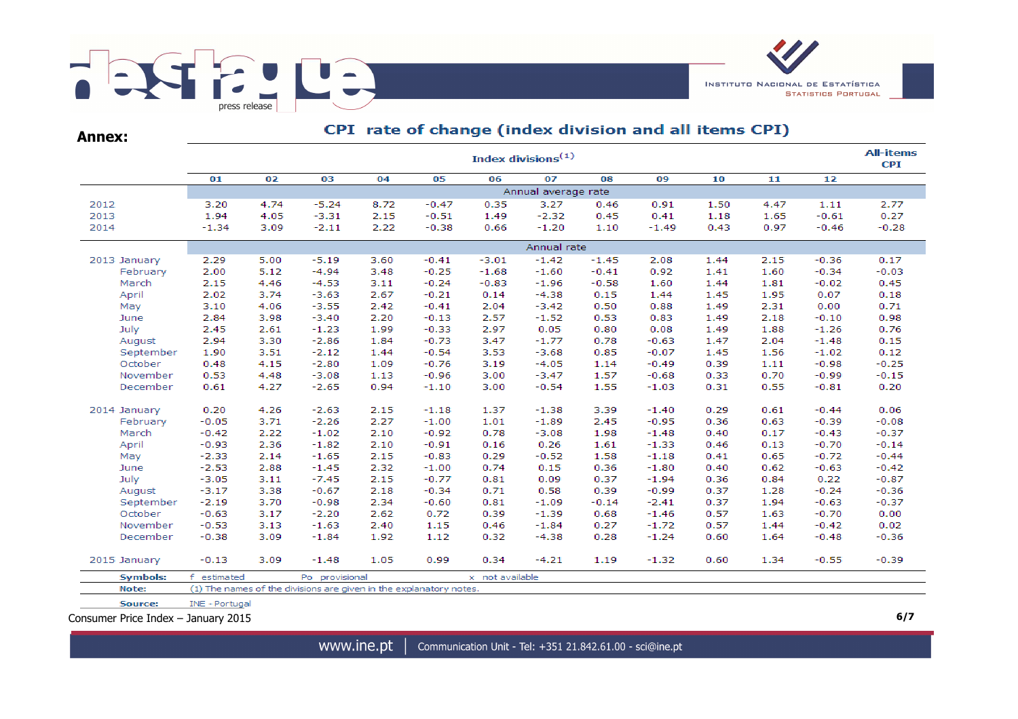

**Annex:**

# CPI rate of change (index division and all items CPI)

| 06<br>01<br>02<br>03<br>04<br>07<br>08<br>10<br>05<br>09<br>11<br>12<br>Annual average rate<br>$-5.24$<br>$-0.47$<br>2012<br>3.20<br>4.74<br>8.72<br>0.35<br>3.27<br>0.46<br>0.91<br>1.50<br>4.47<br>1.11<br>2013<br>1.94<br>$-3.31$<br>2.15<br>1.49<br>$-2.32$<br>1.18<br>$-0.61$<br>4.05<br>$-0.51$<br>0.45<br>0.41<br>1.65<br>2014<br>$-2.11$<br>2.22<br>$-1.20$<br>$-1.34$<br>3.09<br>$-0.38$<br>0.66<br>1.10<br>$-1.49$<br>0.43<br>0.97<br>$-0.46$<br>Annual rate<br>2013 January<br>2.29<br>5.00<br>$-5.19$<br>3.60<br>$-0.41$<br>$-3.01$<br>$-1.42$<br>$-1.45$<br>2.08<br>1.44<br>2.15<br>$-0.36$<br>2.00<br>5.12<br>$-4.94$<br>3.48<br>$-0.25$<br>$-1.68$<br>1.60<br>$-0.34$<br>February<br>$-1.60$<br>$-0.41$<br>0.92<br>1.41<br>2.15<br>$-0.24$<br>$-0.83$<br>March<br>4.46<br>$-4.53$<br>3.11<br>$-1.96$<br>$-0.58$<br>1.60<br>1.44<br>1.81<br>$-0.02$<br>April<br>2.02<br>3.74<br>2.67<br>$-0.21$<br>0.14<br>$-4.38$<br>0.15<br>1.95<br>0.07<br>$-3.63$<br>1.44<br>1.45<br>$-0.41$<br>2.04<br>2.31<br>0.00<br>3.10<br>4.06<br>$-3.55$<br>2.42<br>$-3.42$<br>0.50<br>0.88<br>1.49<br>May<br>2.84<br>2.20<br>$-0.13$<br>2.57<br>$-1.52$<br>0.53<br>2.18<br>$-0.10$<br>3.98<br>$-3.40$<br>0.83<br>1.49<br>June<br>2.45<br>1.99<br>$-0.33$<br>2.97<br>0.05<br>1.88<br>July<br>2.61<br>$-1.23$<br>0.80<br>0.08<br>1.49<br>$-1.26$<br>2.94<br>3.30<br>$-2.86$<br>$-0.73$<br>3.47<br>$-1.77$<br>0.78<br>2.04<br>August<br>1.84<br>$-0.63$<br>1.47<br>$-1.48$<br>September<br>1.44<br>$-0.54$<br>3.53<br>0.85<br>$-0.07$<br>1.56<br>1.90<br>3.51<br>$-2.12$<br>$-3.68$<br>1.45<br>$-1.02$<br>$-0.76$<br>3.19<br>October<br>0.48<br>4.15<br>$-2.80$<br>1.09<br>$-4.05$<br>1.14<br>$-0.49$<br>0.39<br>1.11<br>$-0.98$<br>$-0.96$<br>$-0.99$<br>November<br>0.53<br>4.48<br>$-3.08$<br>1.13<br>3.00<br>$-3.47$<br>1.57<br>$-0.68$<br>0.33<br>0.70<br>$-2.65$<br>$-0.54$<br>1.55<br>0.31<br>December<br>0.61<br>4.27<br>0.94<br>$-1.10$<br>3.00<br>$-1.03$<br>0.55<br>$-0.81$<br>0.20<br>4.26<br>0.29<br>0.61<br>$-0.44$<br>2014 January<br>$-2.63$<br>2.15<br>$-1.18$<br>1.37<br>$-1.38$<br>3.39<br>$-1.40$<br>2.27<br>1.01<br>0.36<br>0.63<br>February<br>$-0.05$<br>3.71<br>$-2.26$<br>$-1.00$<br>$-1.89$<br>2.45<br>$-0.95$<br>$-0.39$<br>March<br>$-0.42$<br>2.22<br>2.10<br>$-0.92$<br>0.78<br>1.98<br>$-1.02$<br>$-3.08$<br>$-1.48$<br>0.40<br>0.17<br>$-0.43$<br>April<br>2.10<br>$-0.91$<br>0.16<br>0.26<br>$-1.33$<br>0.13<br>$-0.70$<br>$-0.93$<br>2.36<br>$-1.82$<br>1.61<br>0.46<br>2.14<br>$-1.65$<br>2.15<br>$-0.83$<br>0.29<br>1.58<br>$-1.18$<br>0.41<br>0.65<br>$-0.72$<br>May<br>$-2.33$<br>$-0.52$<br>$-2.53$<br>2.88<br>$-1.45$<br>2.32<br>$-1.00$<br>0.74<br>0.15<br>0.36<br>$-1.80$<br>0.40<br>0.62<br>$-0.63$<br>June<br>$-3.05$<br>$-7.45$<br>2.15<br>$-0.77$<br>0.81<br>0.36<br>0.84<br>0.22<br>July<br>3.11<br>0.09<br>0.37<br>$-1.94$<br>$-3.17$<br>3.38<br>$-0.67$<br>2.18<br>$-0.34$<br>0.71<br>0.58<br>0.39<br>$-0.99$<br>0.37<br>1.28<br>$-0.24$<br>August<br>$-2.19$<br>3.70<br>$-0.98$<br>2.34<br>$-0.60$<br>0.81<br>0.37<br>1.94<br>$-0.63$<br>September<br>$-1.09$<br>$-0.14$<br>$-2.41$<br>October<br>$-0.63$<br>3.17<br>$-2.20$<br>2.62<br>0.72<br>0.39<br>$-1.46$<br>0.57<br>1.63<br>$-0.70$<br>$-1.39$<br>0.68<br>0.46<br>November<br>$-0.53$<br>3.13<br>$-1.63$<br>2.40<br>1.15<br>$-1.84$<br>0.27<br>$-1.72$<br>0.57<br>1.44<br>$-0.42$<br>December<br>$-0.38$<br>$-1.84$<br>1.92<br>1.12<br>0.32<br>$-4.38$<br>$-1.24$<br>0.60<br>1.64<br>$-0.48$<br>3.09<br>0.28<br>0.34<br>2015 January<br>$-0.13$<br>3.09<br>$-1.48$<br>1.05<br>0.99<br>$-4.21$<br>1.19<br>$-1.32$<br>0.60<br>1.34<br>$-0.55$<br><b>Symbols:</b><br>f estimated<br>Po provisional<br>x not available<br>(1) The names of the divisions are given in the explanatory notes.<br>Note:<br>Source:<br>INE - Portugal |  |  |  |  |  |  | Index divisions $(1)$ |  |  |  |  |  | <b>All-items</b><br><b>CPI</b> |  |
|--------------------------------------------------------------------------------------------------------------------------------------------------------------------------------------------------------------------------------------------------------------------------------------------------------------------------------------------------------------------------------------------------------------------------------------------------------------------------------------------------------------------------------------------------------------------------------------------------------------------------------------------------------------------------------------------------------------------------------------------------------------------------------------------------------------------------------------------------------------------------------------------------------------------------------------------------------------------------------------------------------------------------------------------------------------------------------------------------------------------------------------------------------------------------------------------------------------------------------------------------------------------------------------------------------------------------------------------------------------------------------------------------------------------------------------------------------------------------------------------------------------------------------------------------------------------------------------------------------------------------------------------------------------------------------------------------------------------------------------------------------------------------------------------------------------------------------------------------------------------------------------------------------------------------------------------------------------------------------------------------------------------------------------------------------------------------------------------------------------------------------------------------------------------------------------------------------------------------------------------------------------------------------------------------------------------------------------------------------------------------------------------------------------------------------------------------------------------------------------------------------------------------------------------------------------------------------------------------------------------------------------------------------------------------------------------------------------------------------------------------------------------------------------------------------------------------------------------------------------------------------------------------------------------------------------------------------------------------------------------------------------------------------------------------------------------------------------------------------------------------------------------------------------------------------------------------------------------------------------------------------------------------------------------------------------------------------------------------------------------------------------------------------------------------------------------------------------------------------------------------------------------------------------------------------------------------------------------------------------------------------------------------------------------------------------------------------------------------------------------------------------------------------------------------------------------------------|--|--|--|--|--|--|-----------------------|--|--|--|--|--|--------------------------------|--|
|                                                                                                                                                                                                                                                                                                                                                                                                                                                                                                                                                                                                                                                                                                                                                                                                                                                                                                                                                                                                                                                                                                                                                                                                                                                                                                                                                                                                                                                                                                                                                                                                                                                                                                                                                                                                                                                                                                                                                                                                                                                                                                                                                                                                                                                                                                                                                                                                                                                                                                                                                                                                                                                                                                                                                                                                                                                                                                                                                                                                                                                                                                                                                                                                                                                                                                                                                                                                                                                                                                                                                                                                                                                                                                                                                                                                                                |  |  |  |  |  |  |                       |  |  |  |  |  |                                |  |
|                                                                                                                                                                                                                                                                                                                                                                                                                                                                                                                                                                                                                                                                                                                                                                                                                                                                                                                                                                                                                                                                                                                                                                                                                                                                                                                                                                                                                                                                                                                                                                                                                                                                                                                                                                                                                                                                                                                                                                                                                                                                                                                                                                                                                                                                                                                                                                                                                                                                                                                                                                                                                                                                                                                                                                                                                                                                                                                                                                                                                                                                                                                                                                                                                                                                                                                                                                                                                                                                                                                                                                                                                                                                                                                                                                                                                                |  |  |  |  |  |  |                       |  |  |  |  |  |                                |  |
|                                                                                                                                                                                                                                                                                                                                                                                                                                                                                                                                                                                                                                                                                                                                                                                                                                                                                                                                                                                                                                                                                                                                                                                                                                                                                                                                                                                                                                                                                                                                                                                                                                                                                                                                                                                                                                                                                                                                                                                                                                                                                                                                                                                                                                                                                                                                                                                                                                                                                                                                                                                                                                                                                                                                                                                                                                                                                                                                                                                                                                                                                                                                                                                                                                                                                                                                                                                                                                                                                                                                                                                                                                                                                                                                                                                                                                |  |  |  |  |  |  |                       |  |  |  |  |  | 2.77                           |  |
|                                                                                                                                                                                                                                                                                                                                                                                                                                                                                                                                                                                                                                                                                                                                                                                                                                                                                                                                                                                                                                                                                                                                                                                                                                                                                                                                                                                                                                                                                                                                                                                                                                                                                                                                                                                                                                                                                                                                                                                                                                                                                                                                                                                                                                                                                                                                                                                                                                                                                                                                                                                                                                                                                                                                                                                                                                                                                                                                                                                                                                                                                                                                                                                                                                                                                                                                                                                                                                                                                                                                                                                                                                                                                                                                                                                                                                |  |  |  |  |  |  |                       |  |  |  |  |  | 0.27                           |  |
|                                                                                                                                                                                                                                                                                                                                                                                                                                                                                                                                                                                                                                                                                                                                                                                                                                                                                                                                                                                                                                                                                                                                                                                                                                                                                                                                                                                                                                                                                                                                                                                                                                                                                                                                                                                                                                                                                                                                                                                                                                                                                                                                                                                                                                                                                                                                                                                                                                                                                                                                                                                                                                                                                                                                                                                                                                                                                                                                                                                                                                                                                                                                                                                                                                                                                                                                                                                                                                                                                                                                                                                                                                                                                                                                                                                                                                |  |  |  |  |  |  |                       |  |  |  |  |  | $-0.28$                        |  |
|                                                                                                                                                                                                                                                                                                                                                                                                                                                                                                                                                                                                                                                                                                                                                                                                                                                                                                                                                                                                                                                                                                                                                                                                                                                                                                                                                                                                                                                                                                                                                                                                                                                                                                                                                                                                                                                                                                                                                                                                                                                                                                                                                                                                                                                                                                                                                                                                                                                                                                                                                                                                                                                                                                                                                                                                                                                                                                                                                                                                                                                                                                                                                                                                                                                                                                                                                                                                                                                                                                                                                                                                                                                                                                                                                                                                                                |  |  |  |  |  |  |                       |  |  |  |  |  |                                |  |
|                                                                                                                                                                                                                                                                                                                                                                                                                                                                                                                                                                                                                                                                                                                                                                                                                                                                                                                                                                                                                                                                                                                                                                                                                                                                                                                                                                                                                                                                                                                                                                                                                                                                                                                                                                                                                                                                                                                                                                                                                                                                                                                                                                                                                                                                                                                                                                                                                                                                                                                                                                                                                                                                                                                                                                                                                                                                                                                                                                                                                                                                                                                                                                                                                                                                                                                                                                                                                                                                                                                                                                                                                                                                                                                                                                                                                                |  |  |  |  |  |  |                       |  |  |  |  |  | 0.17                           |  |
|                                                                                                                                                                                                                                                                                                                                                                                                                                                                                                                                                                                                                                                                                                                                                                                                                                                                                                                                                                                                                                                                                                                                                                                                                                                                                                                                                                                                                                                                                                                                                                                                                                                                                                                                                                                                                                                                                                                                                                                                                                                                                                                                                                                                                                                                                                                                                                                                                                                                                                                                                                                                                                                                                                                                                                                                                                                                                                                                                                                                                                                                                                                                                                                                                                                                                                                                                                                                                                                                                                                                                                                                                                                                                                                                                                                                                                |  |  |  |  |  |  |                       |  |  |  |  |  | $-0.03$                        |  |
|                                                                                                                                                                                                                                                                                                                                                                                                                                                                                                                                                                                                                                                                                                                                                                                                                                                                                                                                                                                                                                                                                                                                                                                                                                                                                                                                                                                                                                                                                                                                                                                                                                                                                                                                                                                                                                                                                                                                                                                                                                                                                                                                                                                                                                                                                                                                                                                                                                                                                                                                                                                                                                                                                                                                                                                                                                                                                                                                                                                                                                                                                                                                                                                                                                                                                                                                                                                                                                                                                                                                                                                                                                                                                                                                                                                                                                |  |  |  |  |  |  |                       |  |  |  |  |  | 0.45                           |  |
|                                                                                                                                                                                                                                                                                                                                                                                                                                                                                                                                                                                                                                                                                                                                                                                                                                                                                                                                                                                                                                                                                                                                                                                                                                                                                                                                                                                                                                                                                                                                                                                                                                                                                                                                                                                                                                                                                                                                                                                                                                                                                                                                                                                                                                                                                                                                                                                                                                                                                                                                                                                                                                                                                                                                                                                                                                                                                                                                                                                                                                                                                                                                                                                                                                                                                                                                                                                                                                                                                                                                                                                                                                                                                                                                                                                                                                |  |  |  |  |  |  |                       |  |  |  |  |  | 0.18                           |  |
|                                                                                                                                                                                                                                                                                                                                                                                                                                                                                                                                                                                                                                                                                                                                                                                                                                                                                                                                                                                                                                                                                                                                                                                                                                                                                                                                                                                                                                                                                                                                                                                                                                                                                                                                                                                                                                                                                                                                                                                                                                                                                                                                                                                                                                                                                                                                                                                                                                                                                                                                                                                                                                                                                                                                                                                                                                                                                                                                                                                                                                                                                                                                                                                                                                                                                                                                                                                                                                                                                                                                                                                                                                                                                                                                                                                                                                |  |  |  |  |  |  |                       |  |  |  |  |  | 0.71                           |  |
|                                                                                                                                                                                                                                                                                                                                                                                                                                                                                                                                                                                                                                                                                                                                                                                                                                                                                                                                                                                                                                                                                                                                                                                                                                                                                                                                                                                                                                                                                                                                                                                                                                                                                                                                                                                                                                                                                                                                                                                                                                                                                                                                                                                                                                                                                                                                                                                                                                                                                                                                                                                                                                                                                                                                                                                                                                                                                                                                                                                                                                                                                                                                                                                                                                                                                                                                                                                                                                                                                                                                                                                                                                                                                                                                                                                                                                |  |  |  |  |  |  |                       |  |  |  |  |  | 0.98                           |  |
|                                                                                                                                                                                                                                                                                                                                                                                                                                                                                                                                                                                                                                                                                                                                                                                                                                                                                                                                                                                                                                                                                                                                                                                                                                                                                                                                                                                                                                                                                                                                                                                                                                                                                                                                                                                                                                                                                                                                                                                                                                                                                                                                                                                                                                                                                                                                                                                                                                                                                                                                                                                                                                                                                                                                                                                                                                                                                                                                                                                                                                                                                                                                                                                                                                                                                                                                                                                                                                                                                                                                                                                                                                                                                                                                                                                                                                |  |  |  |  |  |  |                       |  |  |  |  |  | 0.76                           |  |
|                                                                                                                                                                                                                                                                                                                                                                                                                                                                                                                                                                                                                                                                                                                                                                                                                                                                                                                                                                                                                                                                                                                                                                                                                                                                                                                                                                                                                                                                                                                                                                                                                                                                                                                                                                                                                                                                                                                                                                                                                                                                                                                                                                                                                                                                                                                                                                                                                                                                                                                                                                                                                                                                                                                                                                                                                                                                                                                                                                                                                                                                                                                                                                                                                                                                                                                                                                                                                                                                                                                                                                                                                                                                                                                                                                                                                                |  |  |  |  |  |  |                       |  |  |  |  |  | 0.15                           |  |
|                                                                                                                                                                                                                                                                                                                                                                                                                                                                                                                                                                                                                                                                                                                                                                                                                                                                                                                                                                                                                                                                                                                                                                                                                                                                                                                                                                                                                                                                                                                                                                                                                                                                                                                                                                                                                                                                                                                                                                                                                                                                                                                                                                                                                                                                                                                                                                                                                                                                                                                                                                                                                                                                                                                                                                                                                                                                                                                                                                                                                                                                                                                                                                                                                                                                                                                                                                                                                                                                                                                                                                                                                                                                                                                                                                                                                                |  |  |  |  |  |  |                       |  |  |  |  |  | 0.12                           |  |
|                                                                                                                                                                                                                                                                                                                                                                                                                                                                                                                                                                                                                                                                                                                                                                                                                                                                                                                                                                                                                                                                                                                                                                                                                                                                                                                                                                                                                                                                                                                                                                                                                                                                                                                                                                                                                                                                                                                                                                                                                                                                                                                                                                                                                                                                                                                                                                                                                                                                                                                                                                                                                                                                                                                                                                                                                                                                                                                                                                                                                                                                                                                                                                                                                                                                                                                                                                                                                                                                                                                                                                                                                                                                                                                                                                                                                                |  |  |  |  |  |  |                       |  |  |  |  |  | $-0.25$                        |  |
|                                                                                                                                                                                                                                                                                                                                                                                                                                                                                                                                                                                                                                                                                                                                                                                                                                                                                                                                                                                                                                                                                                                                                                                                                                                                                                                                                                                                                                                                                                                                                                                                                                                                                                                                                                                                                                                                                                                                                                                                                                                                                                                                                                                                                                                                                                                                                                                                                                                                                                                                                                                                                                                                                                                                                                                                                                                                                                                                                                                                                                                                                                                                                                                                                                                                                                                                                                                                                                                                                                                                                                                                                                                                                                                                                                                                                                |  |  |  |  |  |  |                       |  |  |  |  |  | $-0.15$                        |  |
|                                                                                                                                                                                                                                                                                                                                                                                                                                                                                                                                                                                                                                                                                                                                                                                                                                                                                                                                                                                                                                                                                                                                                                                                                                                                                                                                                                                                                                                                                                                                                                                                                                                                                                                                                                                                                                                                                                                                                                                                                                                                                                                                                                                                                                                                                                                                                                                                                                                                                                                                                                                                                                                                                                                                                                                                                                                                                                                                                                                                                                                                                                                                                                                                                                                                                                                                                                                                                                                                                                                                                                                                                                                                                                                                                                                                                                |  |  |  |  |  |  |                       |  |  |  |  |  | 0.20                           |  |
|                                                                                                                                                                                                                                                                                                                                                                                                                                                                                                                                                                                                                                                                                                                                                                                                                                                                                                                                                                                                                                                                                                                                                                                                                                                                                                                                                                                                                                                                                                                                                                                                                                                                                                                                                                                                                                                                                                                                                                                                                                                                                                                                                                                                                                                                                                                                                                                                                                                                                                                                                                                                                                                                                                                                                                                                                                                                                                                                                                                                                                                                                                                                                                                                                                                                                                                                                                                                                                                                                                                                                                                                                                                                                                                                                                                                                                |  |  |  |  |  |  |                       |  |  |  |  |  | 0.06                           |  |
|                                                                                                                                                                                                                                                                                                                                                                                                                                                                                                                                                                                                                                                                                                                                                                                                                                                                                                                                                                                                                                                                                                                                                                                                                                                                                                                                                                                                                                                                                                                                                                                                                                                                                                                                                                                                                                                                                                                                                                                                                                                                                                                                                                                                                                                                                                                                                                                                                                                                                                                                                                                                                                                                                                                                                                                                                                                                                                                                                                                                                                                                                                                                                                                                                                                                                                                                                                                                                                                                                                                                                                                                                                                                                                                                                                                                                                |  |  |  |  |  |  |                       |  |  |  |  |  | $-0.08$                        |  |
|                                                                                                                                                                                                                                                                                                                                                                                                                                                                                                                                                                                                                                                                                                                                                                                                                                                                                                                                                                                                                                                                                                                                                                                                                                                                                                                                                                                                                                                                                                                                                                                                                                                                                                                                                                                                                                                                                                                                                                                                                                                                                                                                                                                                                                                                                                                                                                                                                                                                                                                                                                                                                                                                                                                                                                                                                                                                                                                                                                                                                                                                                                                                                                                                                                                                                                                                                                                                                                                                                                                                                                                                                                                                                                                                                                                                                                |  |  |  |  |  |  |                       |  |  |  |  |  | $-0.37$                        |  |
|                                                                                                                                                                                                                                                                                                                                                                                                                                                                                                                                                                                                                                                                                                                                                                                                                                                                                                                                                                                                                                                                                                                                                                                                                                                                                                                                                                                                                                                                                                                                                                                                                                                                                                                                                                                                                                                                                                                                                                                                                                                                                                                                                                                                                                                                                                                                                                                                                                                                                                                                                                                                                                                                                                                                                                                                                                                                                                                                                                                                                                                                                                                                                                                                                                                                                                                                                                                                                                                                                                                                                                                                                                                                                                                                                                                                                                |  |  |  |  |  |  |                       |  |  |  |  |  | $-0.14$                        |  |
|                                                                                                                                                                                                                                                                                                                                                                                                                                                                                                                                                                                                                                                                                                                                                                                                                                                                                                                                                                                                                                                                                                                                                                                                                                                                                                                                                                                                                                                                                                                                                                                                                                                                                                                                                                                                                                                                                                                                                                                                                                                                                                                                                                                                                                                                                                                                                                                                                                                                                                                                                                                                                                                                                                                                                                                                                                                                                                                                                                                                                                                                                                                                                                                                                                                                                                                                                                                                                                                                                                                                                                                                                                                                                                                                                                                                                                |  |  |  |  |  |  |                       |  |  |  |  |  | $-0.44$                        |  |
|                                                                                                                                                                                                                                                                                                                                                                                                                                                                                                                                                                                                                                                                                                                                                                                                                                                                                                                                                                                                                                                                                                                                                                                                                                                                                                                                                                                                                                                                                                                                                                                                                                                                                                                                                                                                                                                                                                                                                                                                                                                                                                                                                                                                                                                                                                                                                                                                                                                                                                                                                                                                                                                                                                                                                                                                                                                                                                                                                                                                                                                                                                                                                                                                                                                                                                                                                                                                                                                                                                                                                                                                                                                                                                                                                                                                                                |  |  |  |  |  |  |                       |  |  |  |  |  | $-0.42$                        |  |
|                                                                                                                                                                                                                                                                                                                                                                                                                                                                                                                                                                                                                                                                                                                                                                                                                                                                                                                                                                                                                                                                                                                                                                                                                                                                                                                                                                                                                                                                                                                                                                                                                                                                                                                                                                                                                                                                                                                                                                                                                                                                                                                                                                                                                                                                                                                                                                                                                                                                                                                                                                                                                                                                                                                                                                                                                                                                                                                                                                                                                                                                                                                                                                                                                                                                                                                                                                                                                                                                                                                                                                                                                                                                                                                                                                                                                                |  |  |  |  |  |  |                       |  |  |  |  |  | $-0.87$                        |  |
|                                                                                                                                                                                                                                                                                                                                                                                                                                                                                                                                                                                                                                                                                                                                                                                                                                                                                                                                                                                                                                                                                                                                                                                                                                                                                                                                                                                                                                                                                                                                                                                                                                                                                                                                                                                                                                                                                                                                                                                                                                                                                                                                                                                                                                                                                                                                                                                                                                                                                                                                                                                                                                                                                                                                                                                                                                                                                                                                                                                                                                                                                                                                                                                                                                                                                                                                                                                                                                                                                                                                                                                                                                                                                                                                                                                                                                |  |  |  |  |  |  |                       |  |  |  |  |  | $-0.36$                        |  |
|                                                                                                                                                                                                                                                                                                                                                                                                                                                                                                                                                                                                                                                                                                                                                                                                                                                                                                                                                                                                                                                                                                                                                                                                                                                                                                                                                                                                                                                                                                                                                                                                                                                                                                                                                                                                                                                                                                                                                                                                                                                                                                                                                                                                                                                                                                                                                                                                                                                                                                                                                                                                                                                                                                                                                                                                                                                                                                                                                                                                                                                                                                                                                                                                                                                                                                                                                                                                                                                                                                                                                                                                                                                                                                                                                                                                                                |  |  |  |  |  |  |                       |  |  |  |  |  | $-0.37$                        |  |
|                                                                                                                                                                                                                                                                                                                                                                                                                                                                                                                                                                                                                                                                                                                                                                                                                                                                                                                                                                                                                                                                                                                                                                                                                                                                                                                                                                                                                                                                                                                                                                                                                                                                                                                                                                                                                                                                                                                                                                                                                                                                                                                                                                                                                                                                                                                                                                                                                                                                                                                                                                                                                                                                                                                                                                                                                                                                                                                                                                                                                                                                                                                                                                                                                                                                                                                                                                                                                                                                                                                                                                                                                                                                                                                                                                                                                                |  |  |  |  |  |  |                       |  |  |  |  |  | 0.00                           |  |
|                                                                                                                                                                                                                                                                                                                                                                                                                                                                                                                                                                                                                                                                                                                                                                                                                                                                                                                                                                                                                                                                                                                                                                                                                                                                                                                                                                                                                                                                                                                                                                                                                                                                                                                                                                                                                                                                                                                                                                                                                                                                                                                                                                                                                                                                                                                                                                                                                                                                                                                                                                                                                                                                                                                                                                                                                                                                                                                                                                                                                                                                                                                                                                                                                                                                                                                                                                                                                                                                                                                                                                                                                                                                                                                                                                                                                                |  |  |  |  |  |  |                       |  |  |  |  |  | 0.02                           |  |
|                                                                                                                                                                                                                                                                                                                                                                                                                                                                                                                                                                                                                                                                                                                                                                                                                                                                                                                                                                                                                                                                                                                                                                                                                                                                                                                                                                                                                                                                                                                                                                                                                                                                                                                                                                                                                                                                                                                                                                                                                                                                                                                                                                                                                                                                                                                                                                                                                                                                                                                                                                                                                                                                                                                                                                                                                                                                                                                                                                                                                                                                                                                                                                                                                                                                                                                                                                                                                                                                                                                                                                                                                                                                                                                                                                                                                                |  |  |  |  |  |  |                       |  |  |  |  |  | $-0.36$                        |  |
|                                                                                                                                                                                                                                                                                                                                                                                                                                                                                                                                                                                                                                                                                                                                                                                                                                                                                                                                                                                                                                                                                                                                                                                                                                                                                                                                                                                                                                                                                                                                                                                                                                                                                                                                                                                                                                                                                                                                                                                                                                                                                                                                                                                                                                                                                                                                                                                                                                                                                                                                                                                                                                                                                                                                                                                                                                                                                                                                                                                                                                                                                                                                                                                                                                                                                                                                                                                                                                                                                                                                                                                                                                                                                                                                                                                                                                |  |  |  |  |  |  |                       |  |  |  |  |  | $-0.39$                        |  |
|                                                                                                                                                                                                                                                                                                                                                                                                                                                                                                                                                                                                                                                                                                                                                                                                                                                                                                                                                                                                                                                                                                                                                                                                                                                                                                                                                                                                                                                                                                                                                                                                                                                                                                                                                                                                                                                                                                                                                                                                                                                                                                                                                                                                                                                                                                                                                                                                                                                                                                                                                                                                                                                                                                                                                                                                                                                                                                                                                                                                                                                                                                                                                                                                                                                                                                                                                                                                                                                                                                                                                                                                                                                                                                                                                                                                                                |  |  |  |  |  |  |                       |  |  |  |  |  |                                |  |
|                                                                                                                                                                                                                                                                                                                                                                                                                                                                                                                                                                                                                                                                                                                                                                                                                                                                                                                                                                                                                                                                                                                                                                                                                                                                                                                                                                                                                                                                                                                                                                                                                                                                                                                                                                                                                                                                                                                                                                                                                                                                                                                                                                                                                                                                                                                                                                                                                                                                                                                                                                                                                                                                                                                                                                                                                                                                                                                                                                                                                                                                                                                                                                                                                                                                                                                                                                                                                                                                                                                                                                                                                                                                                                                                                                                                                                |  |  |  |  |  |  |                       |  |  |  |  |  |                                |  |
|                                                                                                                                                                                                                                                                                                                                                                                                                                                                                                                                                                                                                                                                                                                                                                                                                                                                                                                                                                                                                                                                                                                                                                                                                                                                                                                                                                                                                                                                                                                                                                                                                                                                                                                                                                                                                                                                                                                                                                                                                                                                                                                                                                                                                                                                                                                                                                                                                                                                                                                                                                                                                                                                                                                                                                                                                                                                                                                                                                                                                                                                                                                                                                                                                                                                                                                                                                                                                                                                                                                                                                                                                                                                                                                                                                                                                                |  |  |  |  |  |  |                       |  |  |  |  |  |                                |  |